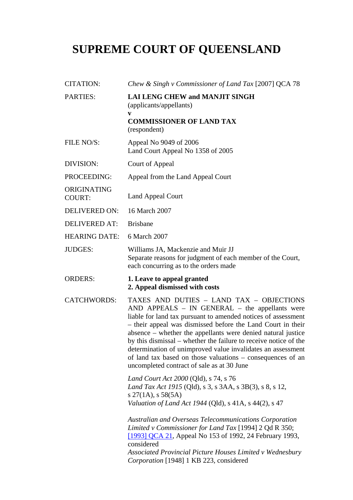## **SUPREME COURT OF QUEENSLAND**

| <b>CITATION:</b>             | Chew & Singh v Commissioner of Land Tax [2007] QCA 78                                                                                                                                                                                                                                                                                                                                                                                                                                                                                       |
|------------------------------|---------------------------------------------------------------------------------------------------------------------------------------------------------------------------------------------------------------------------------------------------------------------------------------------------------------------------------------------------------------------------------------------------------------------------------------------------------------------------------------------------------------------------------------------|
| <b>PARTIES:</b>              | <b>LAI LENG CHEW and MANJIT SINGH</b><br>(applicants/appellants)<br>V                                                                                                                                                                                                                                                                                                                                                                                                                                                                       |
|                              | <b>COMMISSIONER OF LAND TAX</b><br>(respondent)                                                                                                                                                                                                                                                                                                                                                                                                                                                                                             |
| FILE NO/S:                   | Appeal No 9049 of 2006<br>Land Court Appeal No 1358 of 2005                                                                                                                                                                                                                                                                                                                                                                                                                                                                                 |
| DIVISION:                    | Court of Appeal                                                                                                                                                                                                                                                                                                                                                                                                                                                                                                                             |
| PROCEEDING:                  | Appeal from the Land Appeal Court                                                                                                                                                                                                                                                                                                                                                                                                                                                                                                           |
| ORIGINATING<br><b>COURT:</b> | <b>Land Appeal Court</b>                                                                                                                                                                                                                                                                                                                                                                                                                                                                                                                    |
| <b>DELIVERED ON:</b>         | 16 March 2007                                                                                                                                                                                                                                                                                                                                                                                                                                                                                                                               |
| <b>DELIVERED AT:</b>         | <b>Brisbane</b>                                                                                                                                                                                                                                                                                                                                                                                                                                                                                                                             |
| <b>HEARING DATE:</b>         | 6 March 2007                                                                                                                                                                                                                                                                                                                                                                                                                                                                                                                                |
| <b>JUDGES:</b>               | Williams JA, Mackenzie and Muir JJ<br>Separate reasons for judgment of each member of the Court,<br>each concurring as to the orders made                                                                                                                                                                                                                                                                                                                                                                                                   |
|                              |                                                                                                                                                                                                                                                                                                                                                                                                                                                                                                                                             |
| <b>ORDERS:</b>               | 1. Leave to appeal granted<br>2. Appeal dismissed with costs                                                                                                                                                                                                                                                                                                                                                                                                                                                                                |
| <b>CATCHWORDS:</b>           | TAXES AND DUTIES - LAND TAX - OBJECTIONS<br>$AND$ APPEALS – IN GENERAL – the appellants were<br>liable for land tax pursuant to amended notices of assessment<br>- their appeal was dismissed before the Land Court in their<br>absence – whether the appellants were denied natural justice<br>by this dismissal – whether the failure to receive notice of the<br>determination of unimproved value invalidates an assessment<br>of land tax based on those valuations – consequences of an<br>uncompleted contract of sale as at 30 June |
|                              | Land Court Act 2000 (Qld), s 74, s 76<br>Land Tax Act 1915 (Qld), s 3, s 3AA, s 3B(3), s 8, s 12,<br>$s\,27(1A),\,s\,58(5A)$<br>Valuation of Land Act 1944 (Qld), s 41A, s 44(2), s 47                                                                                                                                                                                                                                                                                                                                                      |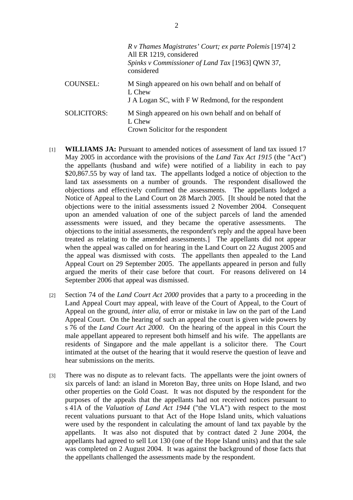|                    | R v Thames Magistrates' Court; ex parte Polemis [1974] 2<br>All ER 1219, considered<br>Spinks v Commissioner of Land Tax [1963] QWN 37,<br>considered |
|--------------------|-------------------------------------------------------------------------------------------------------------------------------------------------------|
| COUNSEL:           | M Singh appeared on his own behalf and on behalf of<br>L Chew<br>J A Logan SC, with F W Redmond, for the respondent                                   |
| <b>SOLICITORS:</b> | M Singh appeared on his own behalf and on behalf of<br>L Chew<br>Crown Solicitor for the respondent                                                   |

- [1] **WILLIAMS JA:** Pursuant to amended notices of assessment of land tax issued 17 May 2005 in accordance with the provisions of the *Land Tax Act 1915* (the "Act") the appellants (husband and wife) were notified of a liability in each to pay \$20,867.55 by way of land tax. The appellants lodged a notice of objection to the land tax assessments on a number of grounds. The respondent disallowed the objections and effectively confirmed the assessments. The appellants lodged a Notice of Appeal to the Land Court on 28 March 2005. [It should be noted that the objections were to the initial assessments issued 2 November 2004. Consequent upon an amended valuation of one of the subject parcels of land the amended assessments were issued, and they became the operative assessments. The objections to the initial assessments, the respondent's reply and the appeal have been treated as relating to the amended assessments.] The appellants did not appear when the appeal was called on for hearing in the Land Court on 22 August 2005 and the appeal was dismissed with costs. The appellants then appealed to the Land Appeal Court on 29 September 2005. The appellants appeared in person and fully argued the merits of their case before that court. For reasons delivered on 14 September 2006 that appeal was dismissed.
- [2] Section 74 of the *Land Court Act 2000* provides that a party to a proceeding in the Land Appeal Court may appeal, with leave of the Court of Appeal, to the Court of Appeal on the ground, *inter alia*, of error or mistake in law on the part of the Land Appeal Court. On the hearing of such an appeal the court is given wide powers by s 76 of the *Land Court Act 2000*. On the hearing of the appeal in this Court the male appellant appeared to represent both himself and his wife. The appellants are residents of Singapore and the male appellant is a solicitor there. The Court intimated at the outset of the hearing that it would reserve the question of leave and hear submissions on the merits.
- [3] There was no dispute as to relevant facts. The appellants were the joint owners of six parcels of land: an island in Moreton Bay, three units on Hope Island, and two other properties on the Gold Coast. It was not disputed by the respondent for the purposes of the appeals that the appellants had not received notices pursuant to s 41A of the *Valuation of Land Act 1944* ("the VLA") with respect to the most recent valuations pursuant to that Act of the Hope Island units, which valuations were used by the respondent in calculating the amount of land tax payable by the appellants. It was also not disputed that by contract dated 2 June 2004, the appellants had agreed to sell Lot 130 (one of the Hope Island units) and that the sale was completed on 2 August 2004. It was against the background of those facts that the appellants challenged the assessments made by the respondent.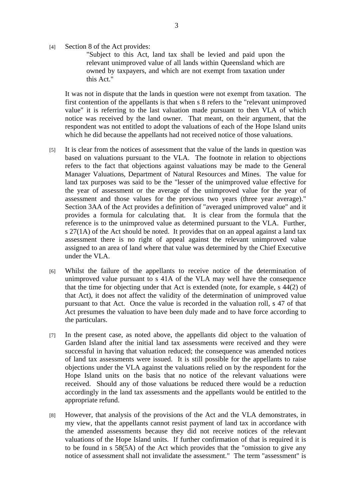[4] Section 8 of the Act provides:

"Subject to this Act, land tax shall be levied and paid upon the relevant unimproved value of all lands within Queensland which are owned by taxpayers, and which are not exempt from taxation under this Act."

It was not in dispute that the lands in question were not exempt from taxation. The first contention of the appellants is that when s 8 refers to the "relevant unimproved value" it is referring to the last valuation made pursuant to then VLA of which notice was received by the land owner. That meant, on their argument, that the respondent was not entitled to adopt the valuations of each of the Hope Island units which he did because the appellants had not received notice of those valuations.

- [5] It is clear from the notices of assessment that the value of the lands in question was based on valuations pursuant to the VLA. The footnote in relation to objections refers to the fact that objections against valuations may be made to the General Manager Valuations, Department of Natural Resources and Mines. The value for land tax purposes was said to be the "lesser of the unimproved value effective for the year of assessment or the average of the unimproved value for the year of assessment and those values for the previous two years (three year average)." Section 3AA of the Act provides a definition of "averaged unimproved value" and it provides a formula for calculating that. It is clear from the formula that the reference is to the unimproved value as determined pursuant to the VLA. Further, s 27(1A) of the Act should be noted. It provides that on an appeal against a land tax assessment there is no right of appeal against the relevant unimproved value assigned to an area of land where that value was determined by the Chief Executive under the VLA.
- [6] Whilst the failure of the appellants to receive notice of the determination of unimproved value pursuant to s 41A of the VLA may well have the consequence that the time for objecting under that Act is extended (note, for example, s 44(2) of that Act), it does not affect the validity of the determination of unimproved value pursuant to that Act. Once the value is recorded in the valuation roll, s 47 of that Act presumes the valuation to have been duly made and to have force according to the particulars.
- [7] In the present case, as noted above, the appellants did object to the valuation of Garden Island after the initial land tax assessments were received and they were successful in having that valuation reduced; the consequence was amended notices of land tax assessments were issued. It is still possible for the appellants to raise objections under the VLA against the valuations relied on by the respondent for the Hope Island units on the basis that no notice of the relevant valuations were received. Should any of those valuations be reduced there would be a reduction accordingly in the land tax assessments and the appellants would be entitled to the appropriate refund.
- [8] However, that analysis of the provisions of the Act and the VLA demonstrates, in my view, that the appellants cannot resist payment of land tax in accordance with the amended assessments because they did not receive notices of the relevant valuations of the Hope Island units. If further confirmation of that is required it is to be found in s 58(5A) of the Act which provides that the "omission to give any notice of assessment shall not invalidate the assessment." The term "assessment" is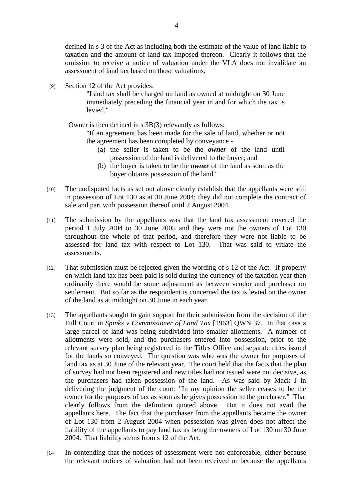defined in s 3 of the Act as including both the estimate of the value of land liable to taxation and the amount of land tax imposed thereon. Clearly it follows that the omission to receive a notice of valuation under the VLA does not invalidate an assessment of land tax based on those valuations.

[9] Section 12 of the Act provides:

"Land tax shall be charged on land as owned at midnight on 30 June immediately preceding the financial year in and for which the tax is levied."

Owner is then defined in s 3B(3) relevantly as follows:

"If an agreement has been made for the sale of land, whether or not the agreement has been completed by conveyance -

- (a) the seller is taken to be the *owner* of the land until possession of the land is delivered to the buyer; and
- (b) the buyer is taken to be the *owner* of the land as soon as the buyer obtains possession of the land."
- [10] The undisputed facts as set out above clearly establish that the appellants were still in possession of Lot 130 as at 30 June 2004; they did not complete the contract of sale and part with possession thereof until 2 August 2004.
- [11] The submission by the appellants was that the land tax assessment covered the period 1 July 2004 to 30 June 2005 and they were not the owners of Lot 130 throughout the whole of that period, and therefore they were not liable to be assessed for land tax with respect to Lot 130. That was said to vitiate the assessments.
- [12] That submission must be rejected given the wording of s 12 of the Act. If property on which land tax has been paid is sold during the currency of the taxation year then ordinarily there would be some adjustment as between vendor and purchaser on settlement. But so far as the respondent is concerned the tax is levied on the owner of the land as at midnight on 30 June in each year.
- [13] The appellants sought to gain support for their submission from the decision of the Full Court in *Spinks v Commissioner of Land Tax* [1963] QWN 37. In that case a large parcel of land was being subdivided into smaller allotments. A number of allotments were sold, and the purchasers entered into possession, prior to the relevant survey plan being registered in the Titles Office and separate titles issued for the lands so conveyed. The question was who was the owner for purposes of land tax as at 30 June of the relevant year. The court held that the facts that the plan of survey had not been registered and new titles had not issued were not decisive, as the purchasers had taken possession of the land. As was said by Mack J in delivering the judgment of the court: "In my opinion the seller ceases to be the owner for the purposes of tax as soon as he gives possession to the purchaser." That clearly follows from the definition quoted above. But it does not avail the appellants here. The fact that the purchaser from the appellants became the owner of Lot 130 from 2 August 2004 when possession was given does not affect the liability of the appellants to pay land tax as being the owners of Lot 130 on 30 June 2004. That liability stems from s 12 of the Act.
- [14] In contending that the notices of assessment were not enforceable, either because the relevant notices of valuation had not been received or because the appellants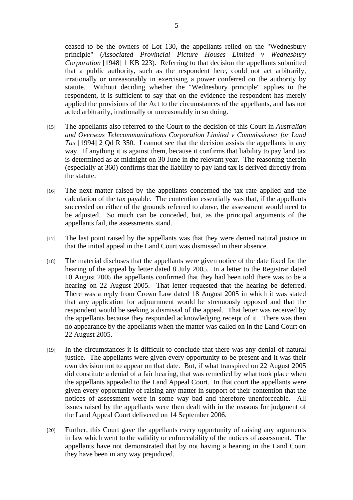ceased to be the owners of Lot 130, the appellants relied on the "Wednesbury principle" (*Associated Provincial Picture Houses Limited v Wednesbury Corporation* [1948] 1 KB 223). Referring to that decision the appellants submitted that a public authority, such as the respondent here, could not act arbitrarily, irrationally or unreasonably in exercising a power conferred on the authority by statute. Without deciding whether the "Wednesbury principle" applies to the respondent, it is sufficient to say that on the evidence the respondent has merely applied the provisions of the Act to the circumstances of the appellants, and has not acted arbitrarily, irrationally or unreasonably in so doing.

- [15] The appellants also referred to the Court to the decision of this Court in *Australian and Overseas Telecommunications Corporation Limited v Commissioner for Land Tax* [1994] 2 Qd R 350. I cannot see that the decision assists the appellants in any way. If anything it is against them, because it confirms that liability to pay land tax is determined as at midnight on 30 June in the relevant year. The reasoning therein (especially at 360) confirms that the liability to pay land tax is derived directly from the statute.
- [16] The next matter raised by the appellants concerned the tax rate applied and the calculation of the tax payable. The contention essentially was that, if the appellants succeeded on either of the grounds referred to above, the assessment would need to be adjusted. So much can be conceded, but, as the principal arguments of the appellants fail, the assessments stand.
- [17] The last point raised by the appellants was that they were denied natural justice in that the initial appeal in the Land Court was dismissed in their absence.
- [18] The material discloses that the appellants were given notice of the date fixed for the hearing of the appeal by letter dated 8 July 2005. In a letter to the Registrar dated 10 August 2005 the appellants confirmed that they had been told there was to be a hearing on 22 August 2005. That letter requested that the hearing be deferred. There was a reply from Crown Law dated 18 August 2005 in which it was stated that any application for adjournment would be strenuously opposed and that the respondent would be seeking a dismissal of the appeal. That letter was received by the appellants because they responded acknowledging receipt of it. There was then no appearance by the appellants when the matter was called on in the Land Court on 22 August 2005.
- [19] In the circumstances it is difficult to conclude that there was any denial of natural justice. The appellants were given every opportunity to be present and it was their own decision not to appear on that date. But, if what transpired on 22 August 2005 did constitute a denial of a fair hearing, that was remedied by what took place when the appellants appealed to the Land Appeal Court. In that court the appellants were given every opportunity of raising any matter in support of their contention that the notices of assessment were in some way bad and therefore unenforceable. All issues raised by the appellants were then dealt with in the reasons for judgment of the Land Appeal Court delivered on 14 September 2006.
- [20] Further, this Court gave the appellants every opportunity of raising any arguments in law which went to the validity or enforceability of the notices of assessment. The appellants have not demonstrated that by not having a hearing in the Land Court they have been in any way prejudiced.